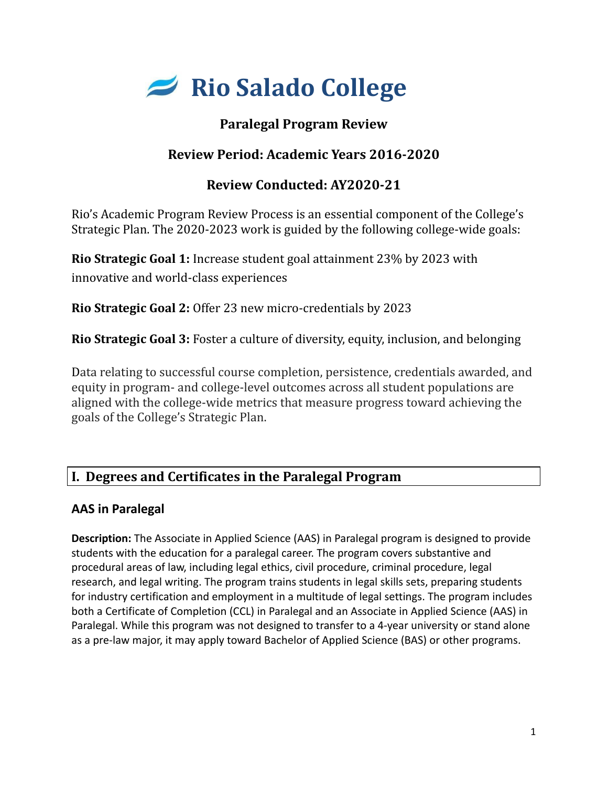

# **Paralegal Program Review**

# **Review Period: Academic Years 2016-2020**

# **Review Conducted: AY2020-21**

Rio's Academic Program Review Process is an essential component of the College's Strategic Plan. The 2020-2023 work is guided by the following college-wide goals:

**Rio Strategic Goal 1:** Increase student goal attainment 23% by 2023 with innovative and world-class experiences

**Rio Strategic Goal 2:** Offer 23 new micro-credentials by 2023

**Rio Strategic Goal 3:** Foster a culture of diversity, equity, inclusion, and belonging

Data relating to successful course completion, persistence, credentials awarded, and equity in program- and college-level outcomes across all student populations are aligned with the college-wide metrics that measure progress toward achieving the goals of the College's Strategic Plan.

# **I. Degrees and Certificates in the Paralegal Program**

## **AAS in Paralegal**

**Description:** The Associate in Applied Science (AAS) in Paralegal program is designed to provide students with the education for a paralegal career. The program covers substantive and procedural areas of law, including legal ethics, civil procedure, criminal procedure, legal research, and legal writing. The program trains students in legal skills sets, preparing students for industry certification and employment in a multitude of legal settings. The program includes both a Certificate of Completion (CCL) in Paralegal and an Associate in Applied Science (AAS) in Paralegal. While this program was not designed to transfer to a 4-year university or stand alone as a pre-law major, it may apply toward Bachelor of Applied Science (BAS) or other programs.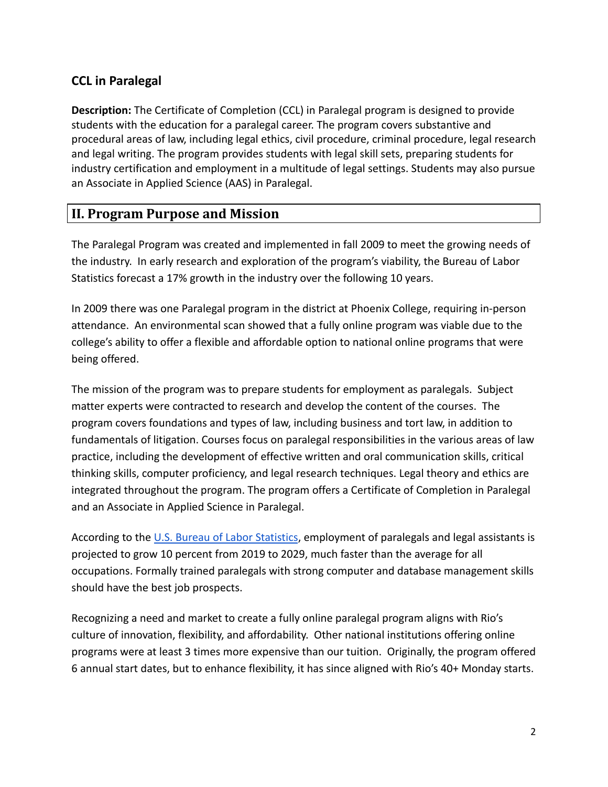## **CCL in Paralegal**

**Description:** The Certificate of Completion (CCL) in Paralegal program is designed to provide students with the education for a paralegal career. The program covers substantive and procedural areas of law, including legal ethics, civil procedure, criminal procedure, legal research and legal writing. The program provides students with legal skill sets, preparing students for industry certification and employment in a multitude of legal settings. Students may also pursue an Associate in Applied Science (AAS) in Paralegal.

## **II. Program Purpose and Mission**

The Paralegal Program was created and implemented in fall 2009 to meet the growing needs of the industry. In early research and exploration of the program's viability, the Bureau of Labor Statistics forecast a 17% growth in the industry over the following 10 years.

In 2009 there was one Paralegal program in the district at Phoenix College, requiring in-person attendance. An environmental scan showed that a fully online program was viable due to the college's ability to offer a flexible and affordable option to national online programs that were being offered.

The mission of the program was to prepare students for employment as paralegals. Subject matter experts were contracted to research and develop the content of the courses. The program covers foundations and types of law, including business and tort law, in addition to fundamentals of litigation. Courses focus on paralegal responsibilities in the various areas of law practice, including the development of effective written and oral communication skills, critical thinking skills, computer proficiency, and legal research techniques. Legal theory and ethics are integrated throughout the program. The program offers a Certificate of Completion in Paralegal and an Associate in Applied Science in Paralegal.

According to the [U.S. Bureau of Labor Statistics](https://www.bls.gov/ooh/legal/paralegals-and-legal-assistants.htm), employment of paralegals and legal assistants is projected to grow 10 percent from 2019 to 2029, much faster than the average for all occupations. Formally trained paralegals with strong computer and database management skills should have the best job prospects.

Recognizing a need and market to create a fully online paralegal program aligns with Rio's culture of innovation, flexibility, and affordability. Other national institutions offering online programs were at least 3 times more expensive than our tuition. Originally, the program offered 6 annual start dates, but to enhance flexibility, it has since aligned with Rio's 40+ Monday starts.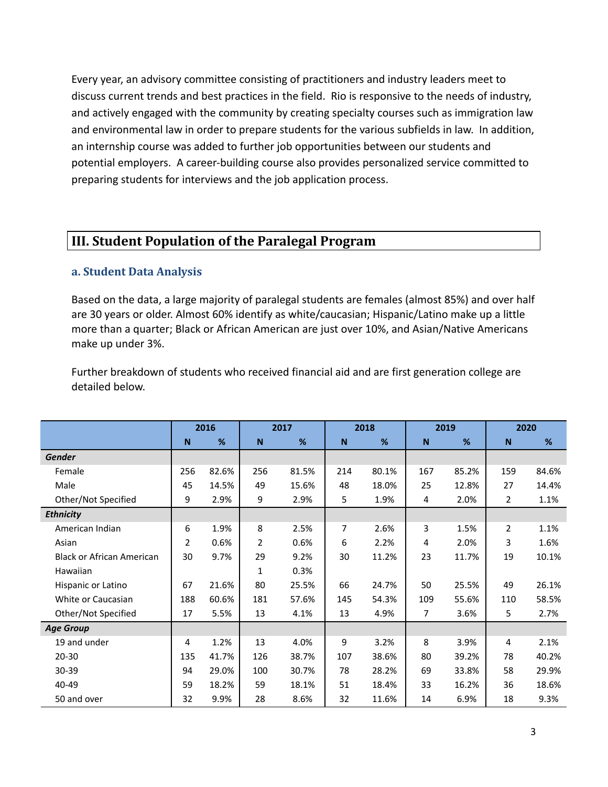Every year, an advisory committee consisting of practitioners and industry leaders meet to discuss current trends and best practices in the field. Rio is responsive to the needs of industry, and actively engaged with the community by creating specialty courses such as immigration law and environmental law in order to prepare students for the various subfields in law. In addition, an internship course was added to further job opportunities between our students and potential employers. A career-building course also provides personalized service committed to preparing students for interviews and the job application process.

## **III. Student Population of the Paralegal Program**

#### **a. Student Data Analysis**

Based on the data, a large majority of paralegal students are females (almost 85%) and over half are 30 years or older. Almost 60% identify as white/caucasian; Hispanic/Latino make up a little more than a quarter; Black or African American are just over 10%, and Asian/Native Americans make up under 3%.

Further breakdown of students who received financial aid and are first generation college are detailed below.

|                                  | 2016 |       |                | 2017  |     | 2018  |     | 2019  |             | 2020  |  |
|----------------------------------|------|-------|----------------|-------|-----|-------|-----|-------|-------------|-------|--|
|                                  | N    | %     | N              | %     | N   | %     | N   | %     | $\mathbf N$ | %     |  |
| <b>Gender</b>                    |      |       |                |       |     |       |     |       |             |       |  |
| Female                           | 256  | 82.6% | 256            | 81.5% | 214 | 80.1% | 167 | 85.2% | 159         | 84.6% |  |
| Male                             | 45   | 14.5% | 49             | 15.6% | 48  | 18.0% | 25  | 12.8% | 27          | 14.4% |  |
| Other/Not Specified              | 9    | 2.9%  | 9              | 2.9%  | 5   | 1.9%  | 4   | 2.0%  | 2           | 1.1%  |  |
| <b>Ethnicity</b>                 |      |       |                |       |     |       |     |       |             |       |  |
| American Indian                  | 6    | 1.9%  | 8              | 2.5%  | 7   | 2.6%  | 3   | 1.5%  | 2           | 1.1%  |  |
| Asian                            | 2    | 0.6%  | $\overline{2}$ | 0.6%  | 6   | 2.2%  | 4   | 2.0%  | 3           | 1.6%  |  |
| <b>Black or African American</b> | 30   | 9.7%  | 29             | 9.2%  | 30  | 11.2% | 23  | 11.7% | 19          | 10.1% |  |
| Hawaiian                         |      |       | $\mathbf{1}$   | 0.3%  |     |       |     |       |             |       |  |
| Hispanic or Latino               | 67   | 21.6% | 80             | 25.5% | 66  | 24.7% | 50  | 25.5% | 49          | 26.1% |  |
| White or Caucasian               | 188  | 60.6% | 181            | 57.6% | 145 | 54.3% | 109 | 55.6% | 110         | 58.5% |  |
| Other/Not Specified              | 17   | 5.5%  | 13             | 4.1%  | 13  | 4.9%  | 7   | 3.6%  | 5           | 2.7%  |  |
| <b>Age Group</b>                 |      |       |                |       |     |       |     |       |             |       |  |
| 19 and under                     | 4    | 1.2%  | 13             | 4.0%  | 9   | 3.2%  | 8   | 3.9%  | 4           | 2.1%  |  |
| $20 - 30$                        | 135  | 41.7% | 126            | 38.7% | 107 | 38.6% | 80  | 39.2% | 78          | 40.2% |  |
| 30-39                            | 94   | 29.0% | 100            | 30.7% | 78  | 28.2% | 69  | 33.8% | 58          | 29.9% |  |
| 40-49                            | 59   | 18.2% | 59             | 18.1% | 51  | 18.4% | 33  | 16.2% | 36          | 18.6% |  |
| 50 and over                      | 32   | 9.9%  | 28             | 8.6%  | 32  | 11.6% | 14  | 6.9%  | 18          | 9.3%  |  |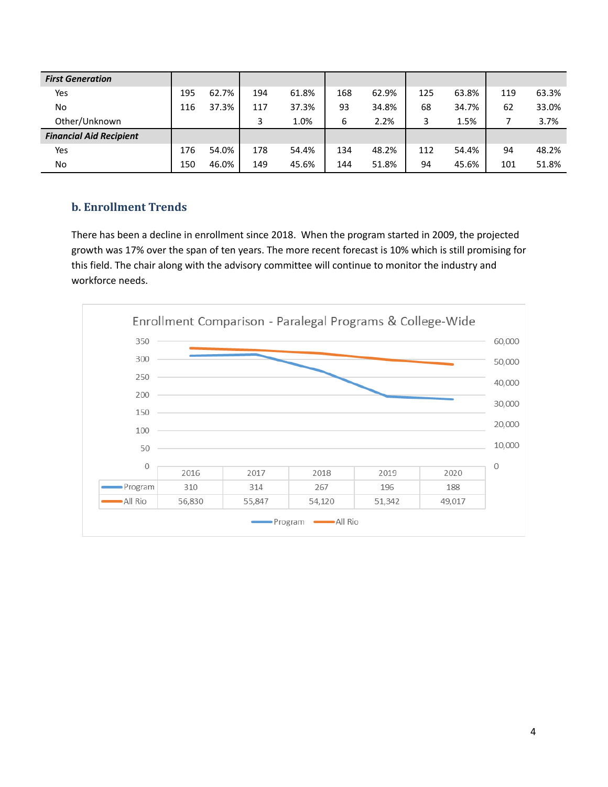| <b>First Generation</b>        |     |       |     |       |     |       |     |       |     |       |
|--------------------------------|-----|-------|-----|-------|-----|-------|-----|-------|-----|-------|
| Yes                            | 195 | 62.7% | 194 | 61.8% | 168 | 62.9% | 125 | 63.8% | 119 | 63.3% |
| No.                            | 116 | 37.3% | 117 | 37.3% | 93  | 34.8% | 68  | 34.7% | 62  | 33.0% |
| Other/Unknown                  |     |       | 3   | 1.0%  | 6   | 2.2%  | 3   | 1.5%  |     | 3.7%  |
| <b>Financial Aid Recipient</b> |     |       |     |       |     |       |     |       |     |       |
| Yes                            | 176 | 54.0% | 178 | 54.4% | 134 | 48.2% | 112 | 54.4% | 94  | 48.2% |
| No.                            | 150 | 46.0% | 149 | 45.6% | 144 | 51.8% | 94  | 45.6% | 101 | 51.8% |

### **b. Enrollment Trends**

There has been a decline in enrollment since 2018. When the program started in 2009, the projected growth was 17% over the span of ten years. The more recent forecast is 10% which is still promising for this field. The chair along with the advisory committee will continue to monitor the industry and workforce needs.

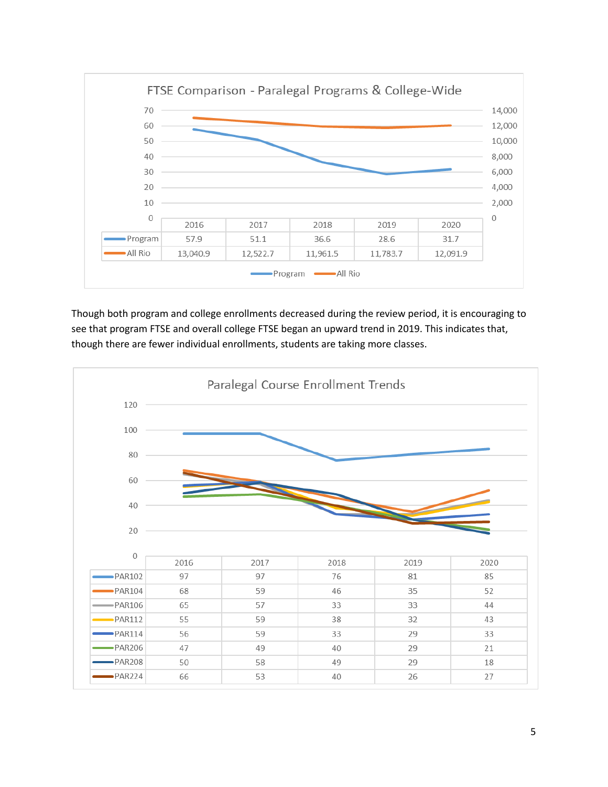

Though both program and college enrollments decreased during the review period, it is encouraging to see that program FTSE and overall college FTSE began an upward trend in 2019. This indicates that, though there are fewer individual enrollments, students are taking more classes.

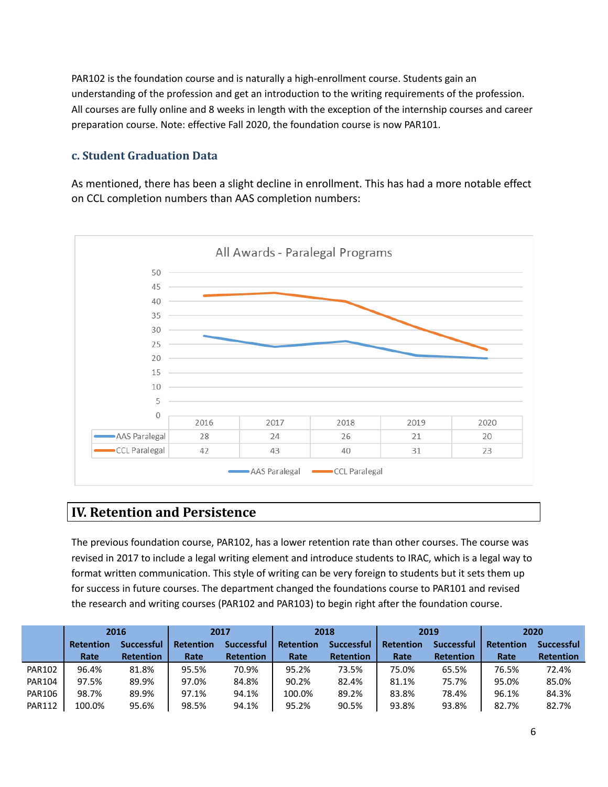PAR102 is the foundation course and is naturally a high-enrollment course. Students gain an understanding of the profession and get an introduction to the writing requirements of the profession. All courses are fully online and 8 weeks in length with the exception of the internship courses and career preparation course. Note: effective Fall 2020, the foundation course is now PAR101.

### **c. Student Graduation Data**

As mentioned, there has been a slight decline in enrollment. This has had a more notable effect on CCL completion numbers than AAS completion numbers:



### **IV. Retention and Persistence**

The previous foundation course, PAR102, has a lower retention rate than other courses. The course was revised in 2017 to include a legal writing element and introduce students to IRAC, which is a legal way to format written communication. This style of writing can be very foreign to students but it sets them up for success in future courses. The department changed the foundations course to PAR101 and revised the research and writing courses (PAR102 and PAR103) to begin right after the foundation course.

|               | 2016      |                  |                  | 2017              |                  | 2018              |                  | 2019              |                  | 2020              |
|---------------|-----------|------------------|------------------|-------------------|------------------|-------------------|------------------|-------------------|------------------|-------------------|
|               | Retention | Successful       | <b>Retention</b> | <b>Successful</b> | <b>Retention</b> | <b>Successful</b> | <b>Retention</b> | <b>Successful</b> | <b>Retention</b> | <b>Successful</b> |
|               | Rate      | <b>Retention</b> | Rate             | <b>Retention</b>  | Rate             | <b>Retention</b>  | Rate             | <b>Retention</b>  | Rate             | <b>Retention</b>  |
| <b>PAR102</b> | 96.4%     | 81.8%            | 95.5%            | 70.9%             | 95.2%            | 73.5%             | 75.0%            | 65.5%             | 76.5%            | 72.4%             |
| <b>PAR104</b> | 97.5%     | 89.9%            | 97.0%            | 84.8%             | 90.2%            | 82.4%             | 81.1%            | 75.7%             | 95.0%            | 85.0%             |
| <b>PAR106</b> | 98.7%     | 89.9%            | 97.1%            | 94.1%             | 100.0%           | 89.2%             | 83.8%            | 78.4%             | 96.1%            | 84.3%             |
| <b>PAR112</b> | 100.0%    | 95.6%            | 98.5%            | 94.1%             | 95.2%            | 90.5%             | 93.8%            | 93.8%             | 82.7%            | 82.7%             |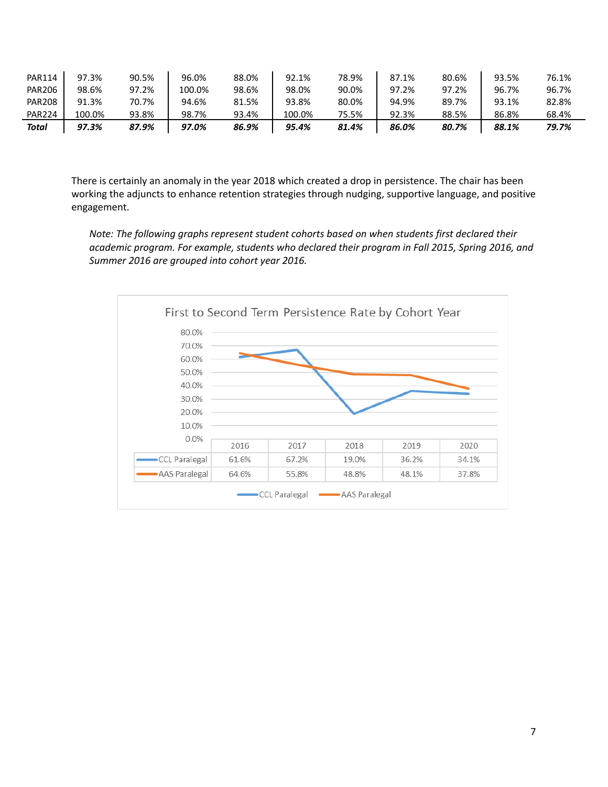| <b>PAR114</b> | 97.3%  | 90.5% | 96.0%  | 88.0% | 92.1%  | 78.9% | 87.1% | 80.6% | 93.5% | 76.1% |
|---------------|--------|-------|--------|-------|--------|-------|-------|-------|-------|-------|
| <b>PAR206</b> | 98.6%  | 97.2% | 100.0% | 98.6% | 98.0%  | 90.0% | 97.2% | 97.2% | 96.7% | 96.7% |
| <b>PAR208</b> | 91.3%  | 70.7% | 94.6%  | 81.5% | 93.8%  | 80.0% | 94.9% | 89.7% | 93.1% | 82.8% |
| <b>PAR224</b> | 100.0% | 93.8% | 98.7%  | 93.4% | 100.0% | 75.5% | 92.3% | 88.5% | 86.8% | 68.4% |
| Total         | 97.3%  | 87.9% | 97.0%  | 86.9% | 95.4%  | 81.4% | 86.0% | 80.7% | 88.1% | 79.7% |

There is certainly an anomaly in the year 2018 which created a drop in persistence. The chair has been working the adjuncts to enhance retention strategies through nudging, supportive language, and positive engagement.

*Note: The following graphs represent student cohorts based on when students first declared their academic program. For example, students who declared their program in Fall 2015, Spring 2016, and Summer 2016 are grouped into cohort year 2016.*

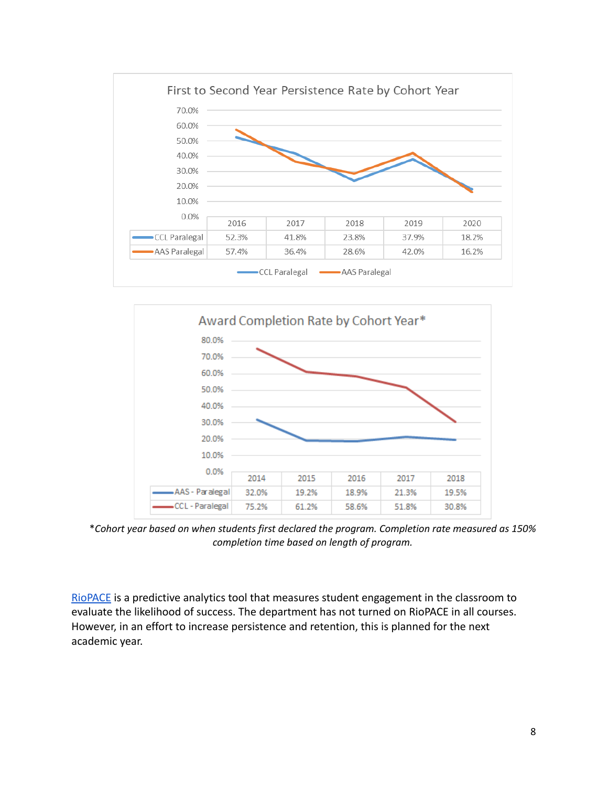



\**Cohort year based on when students first declared the program. Completion rate measured as 150% completion time based on length of program.*

[RioPACE](https://www.riosalado.edu/riolearn/riopace) is a predictive analytics tool that measures student engagement in the classroom to evaluate the likelihood of success. The department has not turned on RioPACE in all courses. However, in an effort to increase persistence and retention, this is planned for the next academic year.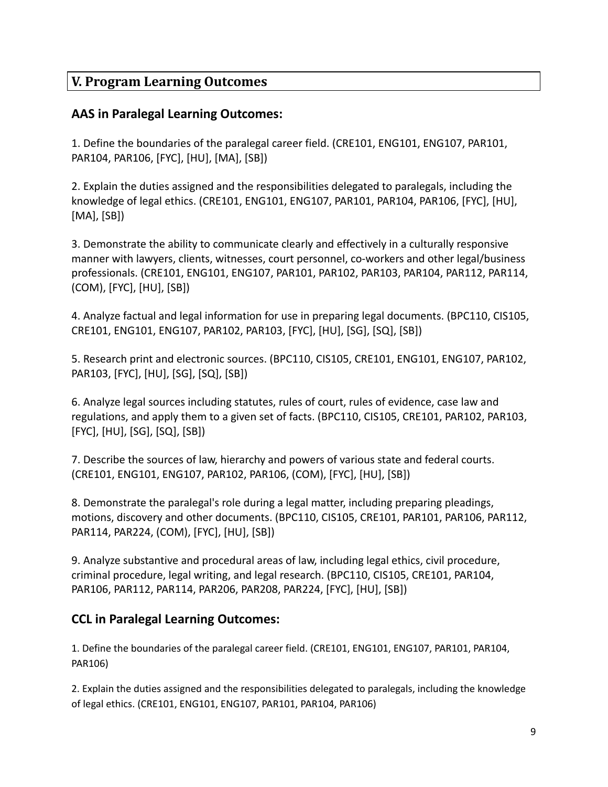## **V. Program Learning Outcomes**

### **AAS in Paralegal Learning Outcomes:**

1. Define the boundaries of the paralegal career field. (CRE101, ENG101, ENG107, PAR101, PAR104, PAR106, [FYC], [HU], [MA], [SB])

2. Explain the duties assigned and the responsibilities delegated to paralegals, including the knowledge of legal ethics. (CRE101, ENG101, ENG107, PAR101, PAR104, PAR106, [FYC], [HU], [MA], [SB])

3. Demonstrate the ability to communicate clearly and effectively in a culturally responsive manner with lawyers, clients, witnesses, court personnel, co-workers and other legal/business professionals. (CRE101, ENG101, ENG107, PAR101, PAR102, PAR103, PAR104, PAR112, PAR114, (COM), [FYC], [HU], [SB])

4. Analyze factual and legal information for use in preparing legal documents. (BPC110, CIS105, CRE101, ENG101, ENG107, PAR102, PAR103, [FYC], [HU], [SG], [SQ], [SB])

5. Research print and electronic sources. (BPC110, CIS105, CRE101, ENG101, ENG107, PAR102, PAR103, [FYC], [HU], [SG], [SQ], [SB])

6. Analyze legal sources including statutes, rules of court, rules of evidence, case law and regulations, and apply them to a given set of facts. (BPC110, CIS105, CRE101, PAR102, PAR103, [FYC], [HU], [SG], [SQ], [SB])

7. Describe the sources of law, hierarchy and powers of various state and federal courts. (CRE101, ENG101, ENG107, PAR102, PAR106, (COM), [FYC], [HU], [SB])

8. Demonstrate the paralegal's role during a legal matter, including preparing pleadings, motions, discovery and other documents. (BPC110, CIS105, CRE101, PAR101, PAR106, PAR112, PAR114, PAR224, (COM), [FYC], [HU], [SB])

9. Analyze substantive and procedural areas of law, including legal ethics, civil procedure, criminal procedure, legal writing, and legal research. (BPC110, CIS105, CRE101, PAR104, PAR106, PAR112, PAR114, PAR206, PAR208, PAR224, [FYC], [HU], [SB])

## **CCL in Paralegal Learning Outcomes:**

1. Define the boundaries of the paralegal career field. (CRE101, ENG101, ENG107, PAR101, PAR104, PAR106)

2. Explain the duties assigned and the responsibilities delegated to paralegals, including the knowledge of legal ethics. (CRE101, ENG101, ENG107, PAR101, PAR104, PAR106)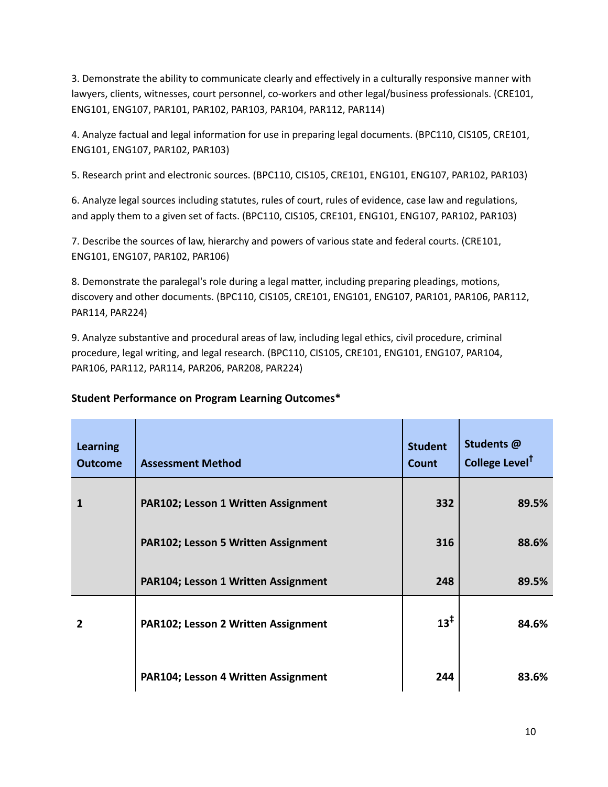3. Demonstrate the ability to communicate clearly and effectively in a culturally responsive manner with lawyers, clients, witnesses, court personnel, co-workers and other legal/business professionals. (CRE101, ENG101, ENG107, PAR101, PAR102, PAR103, PAR104, PAR112, PAR114)

4. Analyze factual and legal information for use in preparing legal documents. (BPC110, CIS105, CRE101, ENG101, ENG107, PAR102, PAR103)

5. Research print and electronic sources. (BPC110, CIS105, CRE101, ENG101, ENG107, PAR102, PAR103)

6. Analyze legal sources including statutes, rules of court, rules of evidence, case law and regulations, and apply them to a given set of facts. (BPC110, CIS105, CRE101, ENG101, ENG107, PAR102, PAR103)

7. Describe the sources of law, hierarchy and powers of various state and federal courts. (CRE101, ENG101, ENG107, PAR102, PAR106)

8. Demonstrate the paralegal's role during a legal matter, including preparing pleadings, motions, discovery and other documents. (BPC110, CIS105, CRE101, ENG101, ENG107, PAR101, PAR106, PAR112, PAR114, PAR224)

9. Analyze substantive and procedural areas of law, including legal ethics, civil procedure, criminal procedure, legal writing, and legal research. (BPC110, CIS105, CRE101, ENG101, ENG107, PAR104, PAR106, PAR112, PAR114, PAR206, PAR208, PAR224)

| <b>Learning</b><br><b>Outcome</b> | <b>Assessment Method</b>                   | <b>Student</b><br><b>Count</b> | Students @<br>College Level <sup>†</sup> |
|-----------------------------------|--------------------------------------------|--------------------------------|------------------------------------------|
| 1                                 | <b>PAR102; Lesson 1 Written Assignment</b> | 332                            | 89.5%                                    |
|                                   | <b>PAR102; Lesson 5 Written Assignment</b> | 316                            | 88.6%                                    |
|                                   | <b>PAR104; Lesson 1 Written Assignment</b> | 248                            | 89.5%                                    |
| 2                                 | <b>PAR102; Lesson 2 Written Assignment</b> | $13^{\ddagger}$                | 84.6%                                    |
|                                   | PAR104; Lesson 4 Written Assignment        | 244                            | 83.6%                                    |

### **Student Performance on Program Learning Outcomes\***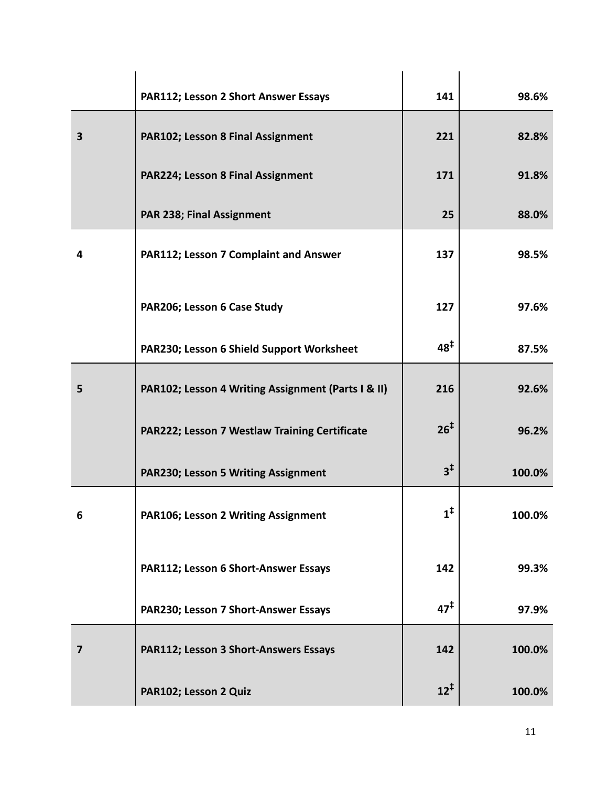|                         | PAR112; Lesson 2 Short Answer Essays               | 141             | 98.6%  |
|-------------------------|----------------------------------------------------|-----------------|--------|
| $\overline{\mathbf{3}}$ | PAR102; Lesson 8 Final Assignment                  | 221             | 82.8%  |
|                         | PAR224; Lesson 8 Final Assignment                  | 171             | 91.8%  |
|                         | PAR 238; Final Assignment                          | 25              | 88.0%  |
| 4                       | PAR112; Lesson 7 Complaint and Answer              | 137             | 98.5%  |
|                         | PAR206; Lesson 6 Case Study                        | 127             | 97.6%  |
|                         | PAR230; Lesson 6 Shield Support Worksheet          | $48^{\ddagger}$ | 87.5%  |
| 5                       | PAR102; Lesson 4 Writing Assignment (Parts I & II) | 216             | 92.6%  |
|                         | PAR222; Lesson 7 Westlaw Training Certificate      | 26 <sup>‡</sup> | 96.2%  |
|                         | PAR230; Lesson 5 Writing Assignment                | $3^{\ddagger}$  | 100.0% |
| 6                       | PAR106; Lesson 2 Writing Assignment                | $1^{\ddagger}$  | 100.0% |
|                         | PAR112; Lesson 6 Short-Answer Essays               | 142             | 99.3%  |
|                         | PAR230; Lesson 7 Short-Answer Essays               | 47 <sup>†</sup> | 97.9%  |
| $\overline{7}$          | PAR112; Lesson 3 Short-Answers Essays              | 142             | 100.0% |
|                         | PAR102; Lesson 2 Quiz                              | $12^{\ddagger}$ | 100.0% |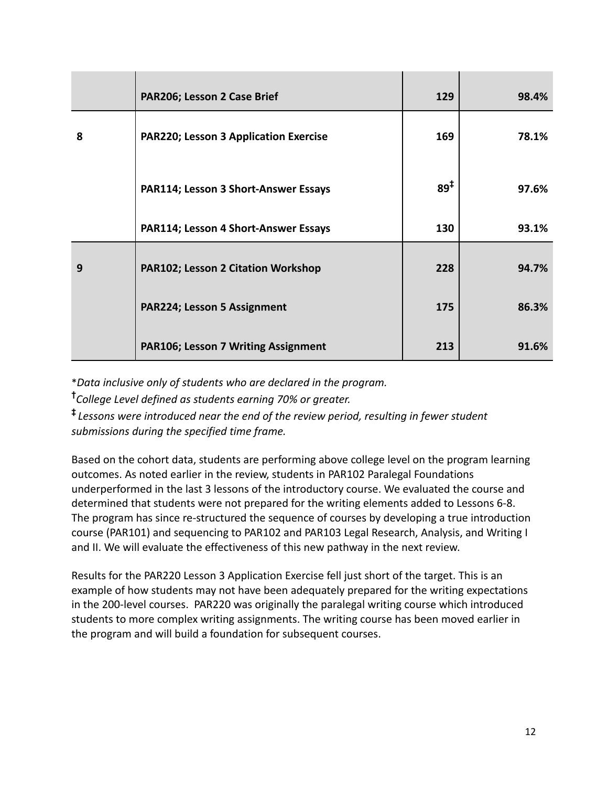|   | PAR206; Lesson 2 Case Brief                  | 129      | 98.4% |
|---|----------------------------------------------|----------|-------|
| 8 | <b>PAR220; Lesson 3 Application Exercise</b> | 169      | 78.1% |
|   | PAR114; Lesson 3 Short-Answer Essays         | $89^{1}$ | 97.6% |
|   | PAR114; Lesson 4 Short-Answer Essays         | 130      | 93.1% |
| 9 | <b>PAR102; Lesson 2 Citation Workshop</b>    | 228      | 94.7% |
|   | PAR224; Lesson 5 Assignment                  | 175      | 86.3% |
|   | <b>PAR106; Lesson 7 Writing Assignment</b>   | 213      | 91.6% |

\**Data inclusive only of students who are declared in the program.*

**†***College Level defined as students earning 70% or greater.*

**‡** *Lessons were introduced near the end of the review period, resulting in fewer student submissions during the specified time frame.*

Based on the cohort data, students are performing above college level on the program learning outcomes. As noted earlier in the review, students in PAR102 Paralegal Foundations underperformed in the last 3 lessons of the introductory course. We evaluated the course and determined that students were not prepared for the writing elements added to Lessons 6-8. The program has since re-structured the sequence of courses by developing a true introduction course (PAR101) and sequencing to PAR102 and PAR103 Legal Research, Analysis, and Writing I and II. We will evaluate the effectiveness of this new pathway in the next review.

Results for the PAR220 Lesson 3 Application Exercise fell just short of the target. This is an example of how students may not have been adequately prepared for the writing expectations in the 200-level courses. PAR220 was originally the paralegal writing course which introduced students to more complex writing assignments. The writing course has been moved earlier in the program and will build a foundation for subsequent courses.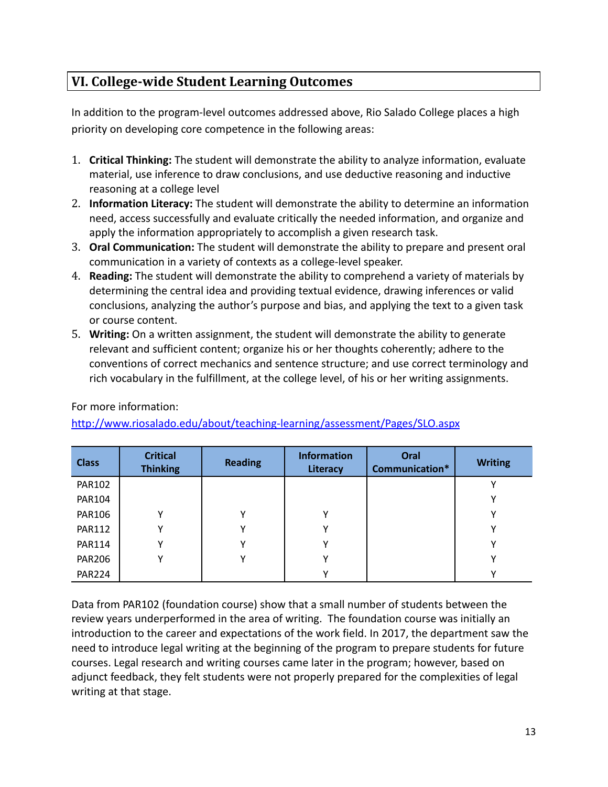# **VI. College-wide Student Learning Outcomes**

In addition to the program-level outcomes addressed above, Rio Salado College places a high priority on developing core competence in the following areas:

- 1. **Critical Thinking:** The student will demonstrate the ability to analyze information, evaluate material, use inference to draw conclusions, and use deductive reasoning and inductive reasoning at a college level
- 2. **Information Literacy:** The student will demonstrate the ability to determine an information need, access successfully and evaluate critically the needed information, and organize and apply the information appropriately to accomplish a given research task.
- 3. **Oral Communication:** The student will demonstrate the ability to prepare and present oral communication in a variety of contexts as a college-level speaker.
- 4. **Reading:** The student will demonstrate the ability to comprehend a variety of materials by determining the central idea and providing textual evidence, drawing inferences or valid conclusions, analyzing the author's purpose and bias, and applying the text to a given task or course content.
- 5. **Writing:** On a written assignment, the student will demonstrate the ability to generate relevant and sufficient content; organize his or her thoughts coherently; adhere to the conventions of correct mechanics and sentence structure; and use correct terminology and rich vocabulary in the fulfillment, at the college level, of his or her writing assignments.

For more information:

<http://www.riosalado.edu/about/teaching-learning/assessment/Pages/SLO.aspx>

| <b>Class</b>  | <b>Critical</b><br><b>Thinking</b> | <b>Reading</b> | <b>Information</b><br>Literacy | Oral<br>Communication* | <b>Writing</b> |
|---------------|------------------------------------|----------------|--------------------------------|------------------------|----------------|
| <b>PAR102</b> |                                    |                |                                |                        |                |
| <b>PAR104</b> |                                    |                |                                |                        |                |
| <b>PAR106</b> | Υ                                  |                | v                              |                        |                |
| <b>PAR112</b> | Υ                                  |                |                                |                        |                |
| <b>PAR114</b> | ٧                                  |                |                                |                        |                |
| <b>PAR206</b> | Υ                                  |                |                                |                        |                |
| <b>PAR224</b> |                                    |                |                                |                        |                |

Data from PAR102 (foundation course) show that a small number of students between the review years underperformed in the area of writing. The foundation course was initially an introduction to the career and expectations of the work field. In 2017, the department saw the need to introduce legal writing at the beginning of the program to prepare students for future courses. Legal research and writing courses came later in the program; however, based on adjunct feedback, they felt students were not properly prepared for the complexities of legal writing at that stage.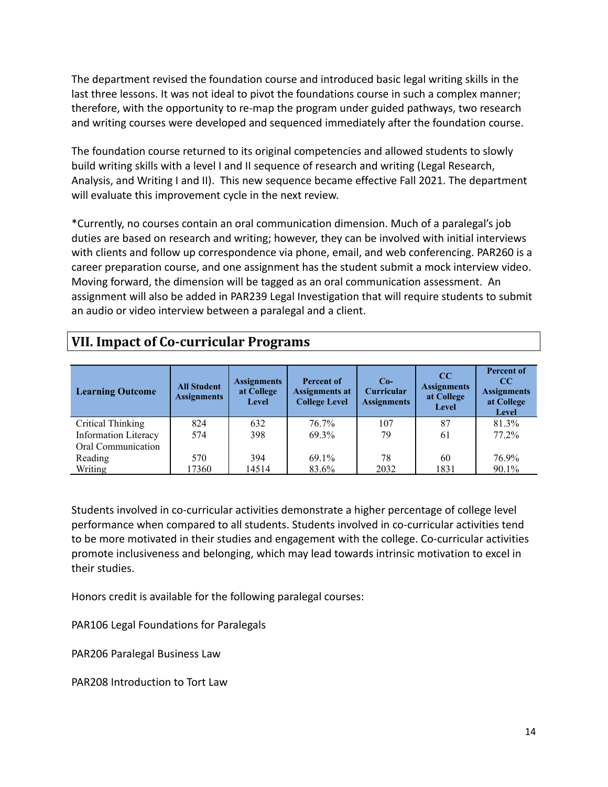The department revised the foundation course and introduced basic legal writing skills in the last three lessons. It was not ideal to pivot the foundations course in such a complex manner; therefore, with the opportunity to re-map the program under guided pathways, two research and writing courses were developed and sequenced immediately after the foundation course.

The foundation course returned to its original competencies and allowed students to slowly build writing skills with a level I and II sequence of research and writing (Legal Research, Analysis, and Writing I and II). This new sequence became effective Fall 2021. The department will evaluate this improvement cycle in the next review.

\*Currently, no courses contain an oral communication dimension. Much of a paralegal's job duties are based on research and writing; however, they can be involved with initial interviews with clients and follow up correspondence via phone, email, and web conferencing. PAR260 is a career preparation course, and one assignment has the student submit a mock interview video. Moving forward, the dimension will be tagged as an oral communication assessment. An assignment will also be added in PAR239 Legal Investigation that will require students to submit an audio or video interview between a paralegal and a client.

|  |  |  | <b>VII. Impact of Co-curricular Programs</b> |  |
|--|--|--|----------------------------------------------|--|
|--|--|--|----------------------------------------------|--|

| <b>Learning Outcome</b>     | <b>All Student</b><br><b>Assignments</b> | <b>Assignments</b><br>at College<br><b>Level</b> | <b>Percent of</b><br><b>Assignments at</b><br><b>College Level</b> | $Co-$<br><b>Curricular</b><br><b>Assignments</b> | $_{\rm CC}$<br><b>Assignments</b><br>at College<br>Level | <b>Percent of</b><br>$_{\rm CC}$<br><b>Assignments</b><br>at College<br><b>Level</b> |
|-----------------------------|------------------------------------------|--------------------------------------------------|--------------------------------------------------------------------|--------------------------------------------------|----------------------------------------------------------|--------------------------------------------------------------------------------------|
| <b>Critical Thinking</b>    | 824                                      | 632                                              | 76.7%                                                              | 107                                              | 87                                                       | 81.3%                                                                                |
| <b>Information Literacy</b> | 574                                      | 398                                              | 69.3%                                                              | 79                                               | 61                                                       | 77.2%                                                                                |
| Oral Communication          |                                          |                                                  |                                                                    |                                                  |                                                          |                                                                                      |
| Reading                     | 570                                      | 394                                              | 69.1%                                                              | 78                                               | 60                                                       | 76.9%                                                                                |
| Writing                     | 17360                                    | 14514                                            | 83.6%                                                              | 2032                                             | 1831                                                     | 90.1%                                                                                |

Students involved in co-curricular activities demonstrate a higher percentage of college level performance when compared to all students. Students involved in co-curricular activities tend to be more motivated in their studies and engagement with the college. Co-curricular activities promote inclusiveness and belonging, which may lead towards intrinsic motivation to excel in their studies.

Honors credit is available for the following paralegal courses:

PAR106 Legal Foundations for Paralegals

PAR206 Paralegal Business Law

PAR208 Introduction to Tort Law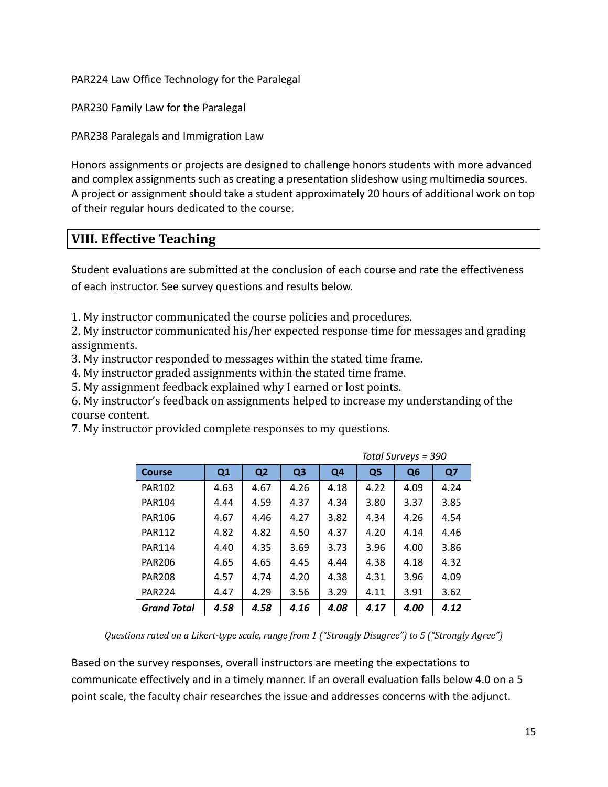PAR224 Law Office Technology for the Paralegal

PAR230 Family Law for the Paralegal

PAR238 Paralegals and Immigration Law

Honors assignments or projects are designed to challenge honors students with more advanced and complex assignments such as creating a presentation slideshow using multimedia sources. A project or assignment should take a student approximately 20 hours of additional work on top of their regular hours dedicated to the course.

## **VIII. Effective Teaching**

Student evaluations are submitted at the conclusion of each course and rate the effectiveness of each instructor. See survey questions and results below.

1. My instructor communicated the course policies and procedures.

2. My instructor communicated his/her expected response time for messages and grading assignments.

3. My instructor responded to messages within the stated time frame.

4. My instructor graded assignments within the stated time frame.

5. My assignment feedback explained why I earned or lost points.

6. My instructor's feedback on assignments helped to increase my understanding of the course content.

7. My instructor provided complete responses to my questions.

|                    |      | Total Surveys = 390 |                |                |                |                |      |  |
|--------------------|------|---------------------|----------------|----------------|----------------|----------------|------|--|
| Course             | Q1   | Q <sub>2</sub>      | Q <sub>3</sub> | Q <sub>4</sub> | Q <sub>5</sub> | Q <sub>6</sub> | Q7   |  |
| <b>PAR102</b>      | 4.63 | 4.67                | 4.26           | 4.18           | 4.22           | 4.09           | 4.24 |  |
| PAR104             | 4.44 | 4.59                | 4.37           | 4.34           | 3.80           | 3.37           | 3.85 |  |
| <b>PAR106</b>      | 4.67 | 4.46                | 4.27           | 3.82           | 4.34           | 4.26           | 4.54 |  |
| <b>PAR112</b>      | 4.82 | 4.82                | 4.50           | 4.37           | 4.20           | 4.14           | 4.46 |  |
| <b>PAR114</b>      | 4.40 | 4.35                | 3.69           | 3.73           | 3.96           | 4.00           | 3.86 |  |
| <b>PAR206</b>      | 4.65 | 4.65                | 4.45           | 4.44           | 4.38           | 4.18           | 4.32 |  |
| <b>PAR208</b>      | 4.57 | 4.74                | 4.20           | 4.38           | 4.31           | 3.96           | 4.09 |  |
| <b>PAR224</b>      | 4.47 | 4.29                | 3.56           | 3.29           | 4.11           | 3.91           | 3.62 |  |
| <b>Grand Total</b> | 4.58 | 4.58                | 4.16           | 4.08           | 4.17           | 4.00           | 4.12 |  |

*Questions rated on a Likert-type scale, range from 1 ("Strongly Disagree") to 5 ("Strongly Agree")*

Based on the survey responses, overall instructors are meeting the expectations to communicate effectively and in a timely manner. If an overall evaluation falls below 4.0 on a 5 point scale, the faculty chair researches the issue and addresses concerns with the adjunct.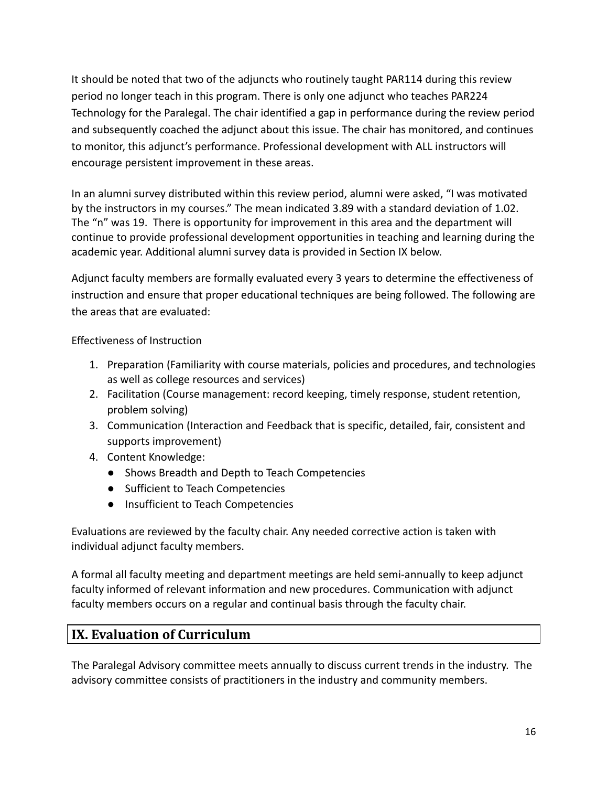It should be noted that two of the adjuncts who routinely taught PAR114 during this review period no longer teach in this program. There is only one adjunct who teaches PAR224 Technology for the Paralegal. The chair identified a gap in performance during the review period and subsequently coached the adjunct about this issue. The chair has monitored, and continues to monitor, this adjunct's performance. Professional development with ALL instructors will encourage persistent improvement in these areas.

In an alumni survey distributed within this review period, alumni were asked, "I was motivated by the instructors in my courses." The mean indicated 3.89 with a standard deviation of 1.02. The "n" was 19. There is opportunity for improvement in this area and the department will continue to provide professional development opportunities in teaching and learning during the academic year. Additional alumni survey data is provided in Section IX below.

Adjunct faculty members are formally evaluated every 3 years to determine the effectiveness of instruction and ensure that proper educational techniques are being followed. The following are the areas that are evaluated:

Effectiveness of Instruction

- 1. Preparation (Familiarity with course materials, policies and procedures, and technologies as well as college resources and services)
- 2. Facilitation (Course management: record keeping, timely response, student retention, problem solving)
- 3. Communication (Interaction and Feedback that is specific, detailed, fair, consistent and supports improvement)
- 4. Content Knowledge:
	- Shows Breadth and Depth to Teach Competencies
	- Sufficient to Teach Competencies
	- Insufficient to Teach Competencies

Evaluations are reviewed by the faculty chair. Any needed corrective action is taken with individual adjunct faculty members.

A formal all faculty meeting and department meetings are held semi-annually to keep adjunct faculty informed of relevant information and new procedures. Communication with adjunct faculty members occurs on a regular and continual basis through the faculty chair.

## **IX. Evaluation of Curriculum**

The Paralegal Advisory committee meets annually to discuss current trends in the industry. The advisory committee consists of practitioners in the industry and community members.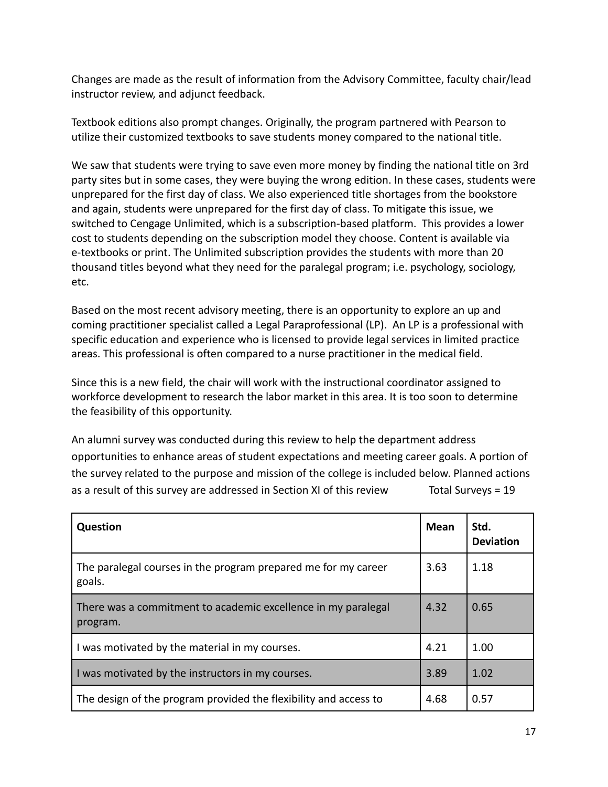Changes are made as the result of information from the Advisory Committee, faculty chair/lead instructor review, and adjunct feedback.

Textbook editions also prompt changes. Originally, the program partnered with Pearson to utilize their customized textbooks to save students money compared to the national title.

We saw that students were trying to save even more money by finding the national title on 3rd party sites but in some cases, they were buying the wrong edition. In these cases, students were unprepared for the first day of class. We also experienced title shortages from the bookstore and again, students were unprepared for the first day of class. To mitigate this issue, we switched to Cengage Unlimited, which is a subscription-based platform. This provides a lower cost to students depending on the subscription model they choose. Content is available via e-textbooks or print. The Unlimited subscription provides the students with more than 20 thousand titles beyond what they need for the paralegal program; i.e. psychology, sociology, etc.

Based on the most recent advisory meeting, there is an opportunity to explore an up and coming practitioner specialist called a Legal Paraprofessional (LP). An LP is a professional with specific education and experience who is licensed to provide legal services in limited practice areas. This professional is often compared to a nurse practitioner in the medical field.

Since this is a new field, the chair will work with the instructional coordinator assigned to workforce development to research the labor market in this area. It is too soon to determine the feasibility of this opportunity.

An alumni survey was conducted during this review to help the department address opportunities to enhance areas of student expectations and meeting career goals. A portion of the survey related to the purpose and mission of the college is included below. Planned actions as a result of this survey are addressed in Section XI of this review Total Surveys = 19

| Question                                                                  | <b>Mean</b> | Std.<br><b>Deviation</b> |
|---------------------------------------------------------------------------|-------------|--------------------------|
| The paralegal courses in the program prepared me for my career<br>goals.  | 3.63        | 1.18                     |
| There was a commitment to academic excellence in my paralegal<br>program. | 4.32        | 0.65                     |
| I was motivated by the material in my courses.                            | 4.21        | 1.00                     |
| I was motivated by the instructors in my courses.                         | 3.89        | 1.02                     |
| The design of the program provided the flexibility and access to          | 4.68        | 0.57                     |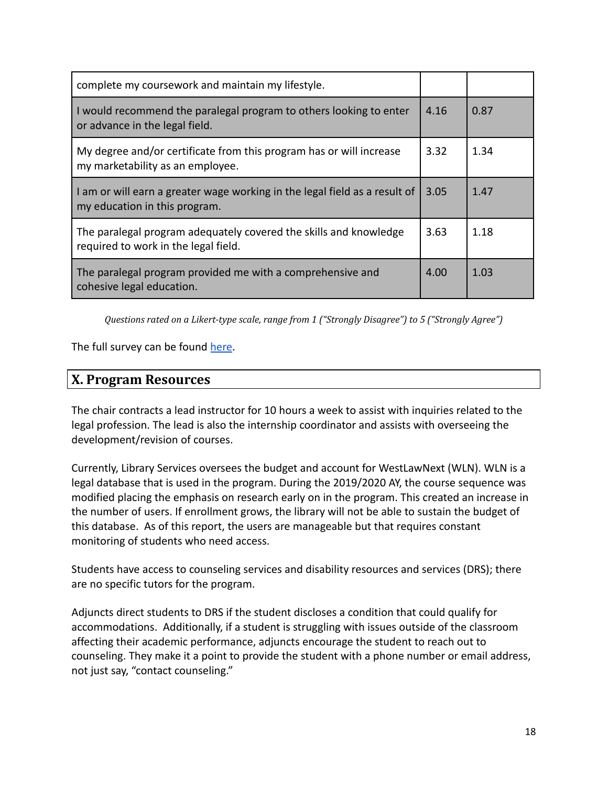| complete my coursework and maintain my lifestyle.                                                           |      |      |
|-------------------------------------------------------------------------------------------------------------|------|------|
| I would recommend the paralegal program to others looking to enter<br>or advance in the legal field.        | 4.16 | 0.87 |
| My degree and/or certificate from this program has or will increase<br>my marketability as an employee.     | 3.32 | 1.34 |
| I am or will earn a greater wage working in the legal field as a result of<br>my education in this program. | 3.05 | 1.47 |
| The paralegal program adequately covered the skills and knowledge<br>required to work in the legal field.   | 3.63 | 1.18 |
| The paralegal program provided me with a comprehensive and<br>cohesive legal education.                     | 4.00 | 1.03 |

*Questions rated on a Likert-type scale, range from 1 ("Strongly Disagree") to 5 ("Strongly Agree")*

The full survey can be found [here](https://maricopacx.az1.qualtrics.com/results/public/bWFyaWNvcGFjeC1VUl81aHd4cU1TRkxoY2t5eTItNjEwYWIwZDY0MWJiYTUwMDExMTdiZDJj#/pages/Page_6dcc67cf-803d-4ce3-a3d0-217497dc39ac).

### **X. Program Resources**

The chair contracts a lead instructor for 10 hours a week to assist with inquiries related to the legal profession. The lead is also the internship coordinator and assists with overseeing the development/revision of courses.

Currently, Library Services oversees the budget and account for WestLawNext (WLN). WLN is a legal database that is used in the program. During the 2019/2020 AY, the course sequence was modified placing the emphasis on research early on in the program. This created an increase in the number of users. If enrollment grows, the library will not be able to sustain the budget of this database. As of this report, the users are manageable but that requires constant monitoring of students who need access.

Students have access to counseling services and disability resources and services (DRS); there are no specific tutors for the program.

Adjuncts direct students to DRS if the student discloses a condition that could qualify for accommodations. Additionally, if a student is struggling with issues outside of the classroom affecting their academic performance, adjuncts encourage the student to reach out to counseling. They make it a point to provide the student with a phone number or email address, not just say, "contact counseling."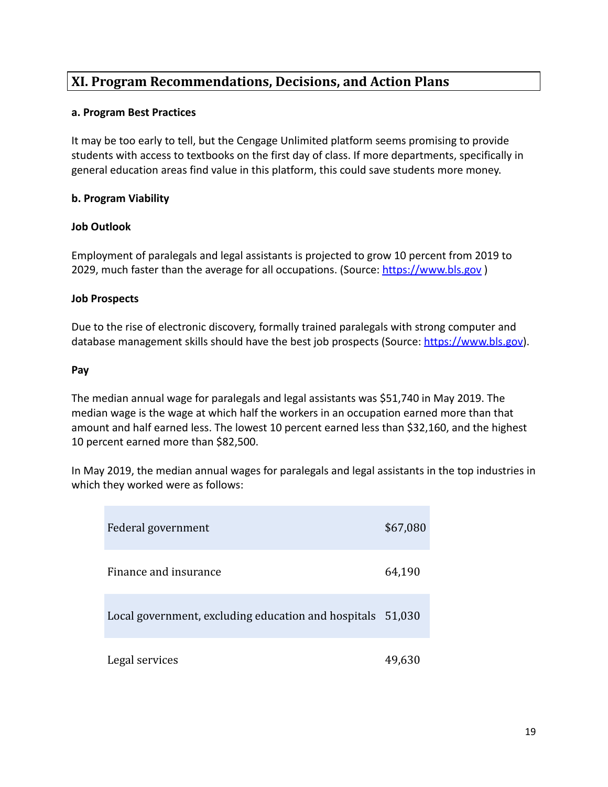## **XI. Program Recommendations, Decisions, and Action Plans**

#### **a. Program Best Practices**

It may be too early to tell, but the Cengage Unlimited platform seems promising to provide students with access to textbooks on the first day of class. If more departments, specifically in general education areas find value in this platform, this could save students more money.

### **b. Program Viability**

### **Job Outlook**

Employment of paralegals and legal assistants is projected to grow 10 percent from 2019 to 2029, much faster than the average for all occupations. (Source: <https://www.bls.gov>)

#### **Job Prospects**

Due to the rise of electronic discovery, formally trained paralegals with strong computer and database management skills should have the best job prospects (Source: [https://www.bls.gov\)](https://www.bls.gov).

#### **Pay**

The median annual wage for paralegals and legal assistants was \$51,740 in May 2019. The median wage is the wage at which half the workers in an occupation earned more than that amount and half earned less. The lowest 10 percent earned less than \$32,160, and the highest 10 percent earned more than \$82,500.

In May 2019, the median annual wages for paralegals and legal assistants in the top industries in which they worked were as follows:

| Federal government                                         | \$67,080 |
|------------------------------------------------------------|----------|
| Finance and insurance                                      | 64,190   |
| Local government, excluding education and hospitals 51,030 |          |
| Legal services                                             | 49,630   |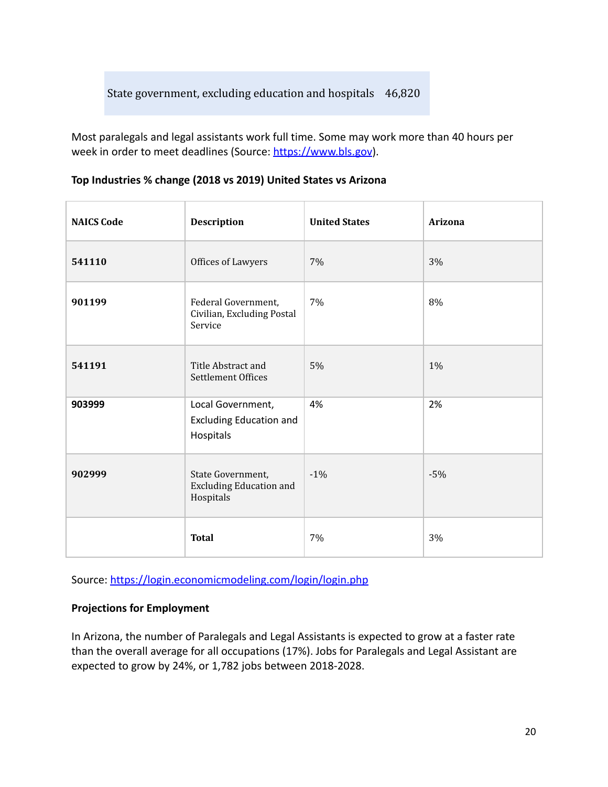Most paralegals and legal assistants work full time. Some may work more than 40 hours per week in order to meet deadlines (Source: <https://www.bls.gov>).

| <b>NAICS Code</b> | <b>Description</b>                                               | <b>United States</b> | <b>Arizona</b> |
|-------------------|------------------------------------------------------------------|----------------------|----------------|
| 541110            | Offices of Lawyers                                               | 7%                   | 3%             |
| 901199            | Federal Government,<br>Civilian, Excluding Postal<br>Service     | 7%                   | 8%             |
| 541191            | Title Abstract and<br>Settlement Offices                         | $5\%$                | 1%             |
| 903999            | Local Government,<br><b>Excluding Education and</b><br>Hospitals | 4%                   | 2%             |
| 902999            | State Government,<br><b>Excluding Education and</b><br>Hospitals | $-1%$                | $-5%$          |
|                   | <b>Total</b>                                                     | 7%                   | 3%             |

### **Top Industries % change (2018 vs 2019) United States vs Arizona**

Source: <https://login.economicmodeling.com/login/login.php>

#### **Projections for Employment**

In Arizona, the number of Paralegals and Legal Assistants is expected to grow at a faster rate than the overall average for all occupations (17%). Jobs for Paralegals and Legal Assistant are expected to grow by 24%, or 1,782 jobs between 2018-2028.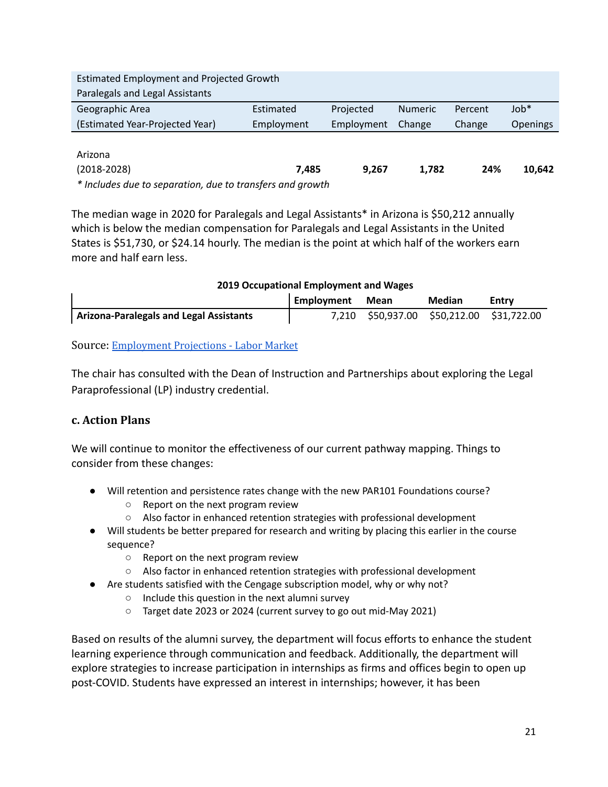| <b>Estimated Employment and Projected Growth</b>          |            |            |                |         |                 |
|-----------------------------------------------------------|------------|------------|----------------|---------|-----------------|
| Paralegals and Legal Assistants                           |            |            |                |         |                 |
| Geographic Area                                           | Estimated  | Projected  | <b>Numeric</b> | Percent | $Job*$          |
| (Estimated Year-Projected Year)                           | Employment | Employment | Change         | Change  | <b>Openings</b> |
|                                                           |            |            |                |         |                 |
| Arizona                                                   |            |            |                |         |                 |
| $(2018 - 2028)$                                           | 7.485      | 9,267      | 1,782          | 24%     | 10,642          |
| * Includes due to separation, due to transfers and growth |            |            |                |         |                 |

The median wage in 2020 for Paralegals and Legal Assistants\* in Arizona is \$50,212 annually which is below the median compensation for Paralegals and Legal Assistants in the United States is \$51,730, or \$24.14 hourly. The median is the point at which half of the workers earn more and half earn less.

| 2019 Occupational Employment and Wages  |            |             |                                     |       |
|-----------------------------------------|------------|-------------|-------------------------------------|-------|
|                                         | Employment | <b>Mean</b> | <b>Median</b>                       | Entry |
| Arizona-Paralegals and Legal Assistants | 7.210      |             | \$50,937.00 \$50,212.00 \$31,722.00 |       |

Source: [Employment](https://www.azcommerce.com/oeo/labor-market/employment-projections/#content-block-1) Projections - Labor Market

The chair has consulted with the Dean of Instruction and Partnerships about exploring the Legal Paraprofessional (LP) industry credential.

### **c. Action Plans**

We will continue to monitor the effectiveness of our current pathway mapping. Things to consider from these changes:

- Will retention and persistence rates change with the new PAR101 Foundations course?
	- Report on the next program review
	- Also factor in enhanced retention strategies with professional development
- Will students be better prepared for research and writing by placing this earlier in the course sequence?
	- Report on the next program review
	- Also factor in enhanced retention strategies with professional development
- Are students satisfied with the Cengage subscription model, why or why not?
	- Include this question in the next alumni survey
	- Target date 2023 or 2024 (current survey to go out mid-May 2021)

Based on results of the alumni survey, the department will focus efforts to enhance the student learning experience through communication and feedback. Additionally, the department will explore strategies to increase participation in internships as firms and offices begin to open up post-COVID. Students have expressed an interest in internships; however, it has been